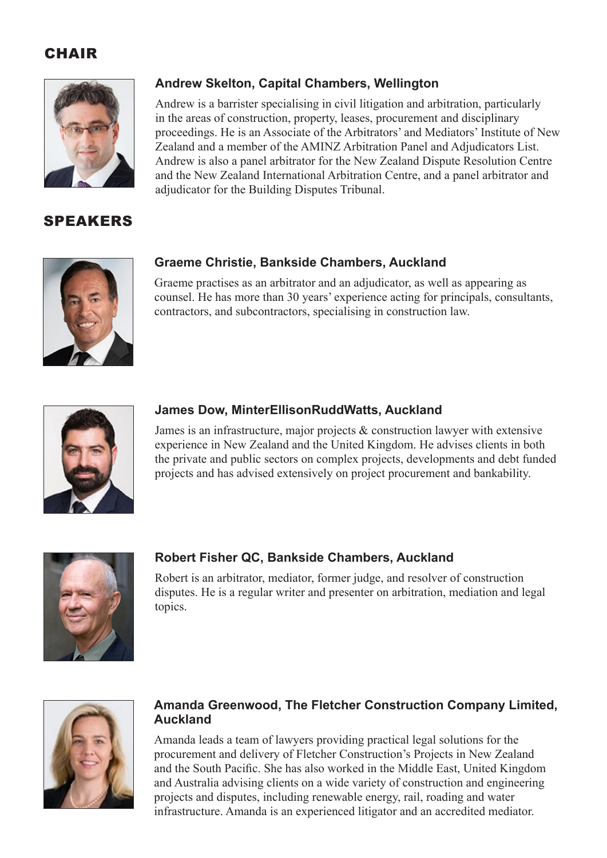## **CHAIR**



## SPEAKERS

### **Andrew Skelton, Capital Chambers, Wellington**

Andrew is a barrister specialising in civil litigation and arbitration, particularly in the areas of construction, property, leases, procurement and disciplinary proceedings. He is an Associate of the Arbitrators' and Mediators' Institute of New Zealand and a member of the AMINZ Arbitration Panel and Adjudicators List. Andrew is also a panel arbitrator for the New Zealand Dispute Resolution Centre and the New Zealand International Arbitration Centre, and a panel arbitrator and adjudicator for the Building Disputes Tribunal.



#### **Graeme Christie, Bankside Chambers, Auckland**

Graeme practises as an arbitrator and an adjudicator, as well as appearing as counsel. He has more than 30 years' experience acting for principals, consultants, contractors, and subcontractors, specialising in construction law.



#### **James Dow, MinterEllisonRuddWatts, Auckland**

James is an infrastructure, major projects & construction lawyer with extensive experience in New Zealand and the United Kingdom. He advises clients in both the private and public sectors on complex projects, developments and debt funded projects and has advised extensively on project procurement and bankability.



#### **Robert Fisher QC, Bankside Chambers, Auckland**

Robert is an arbitrator, mediator, former judge, and resolver of construction disputes. He is a regular writer and presenter on arbitration, mediation and legal topics.



#### **Amanda Greenwood, The Fletcher Construction Company Limited, Auckland**

Amanda leads a team of lawyers providing practical legal solutions for the procurement and delivery of Fletcher Construction's Projects in New Zealand and the South Pacific. She has also worked in the Middle East, United Kingdom and Australia advising clients on a wide variety of construction and engineering projects and disputes, including renewable energy, rail, roading and water infrastructure. Amanda is an experienced litigator and an accredited mediator.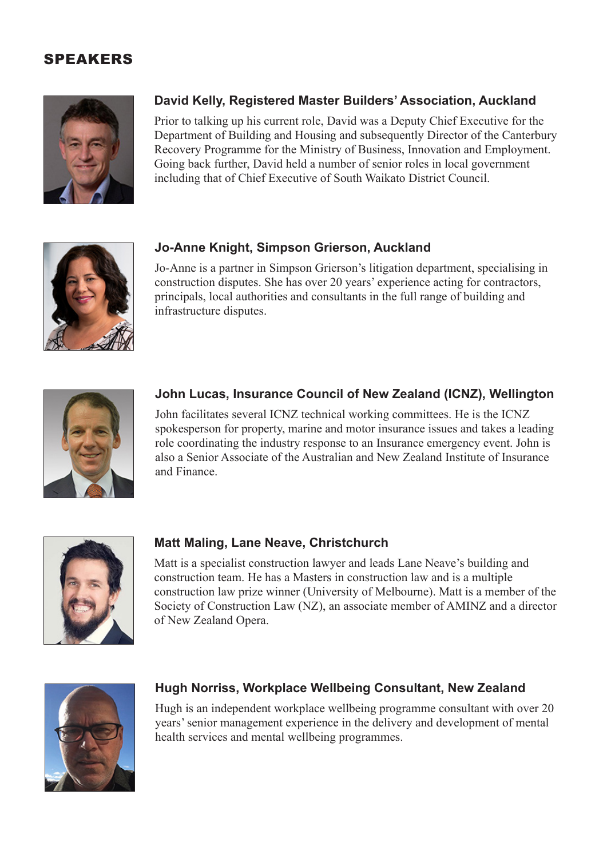## SPEAKERS



## **David Kelly, Registered Master Builders' Association, Auckland**

Prior to talking up his current role, David was a Deputy Chief Executive for the Department of Building and Housing and subsequently Director of the Canterbury Recovery Programme for the Ministry of Business, Innovation and Employment. Going back further, David held a number of senior roles in local government including that of Chief Executive of South Waikato District Council.



### **Jo-Anne Knight, Simpson Grierson, Auckland**

Jo-Anne is a partner in Simpson Grierson's litigation department, specialising in construction disputes. She has over 20 years' experience acting for contractors, principals, local authorities and consultants in the full range of building and infrastructure disputes.



#### **John Lucas, Insurance Council of New Zealand (ICNZ), Wellington**

John facilitates several ICNZ technical working committees. He is the ICNZ spokesperson for property, marine and motor insurance issues and takes a leading role coordinating the industry response to an Insurance emergency event. John is also a Senior Associate of the Australian and New Zealand Institute of Insurance and Finance.



#### **Matt Maling, Lane Neave, Christchurch**

Matt is a specialist construction lawyer and leads Lane Neave's building and construction team. He has a Masters in construction law and is a multiple construction law prize winner (University of Melbourne). Matt is a member of the Society of Construction Law (NZ), an associate member of AMINZ and a director of New Zealand Opera.



#### **Hugh Norriss, Workplace Wellbeing Consultant, New Zealand**

Hugh is an independent workplace wellbeing programme consultant with over 20 years' senior management experience in the delivery and development of mental health services and mental wellbeing programmes.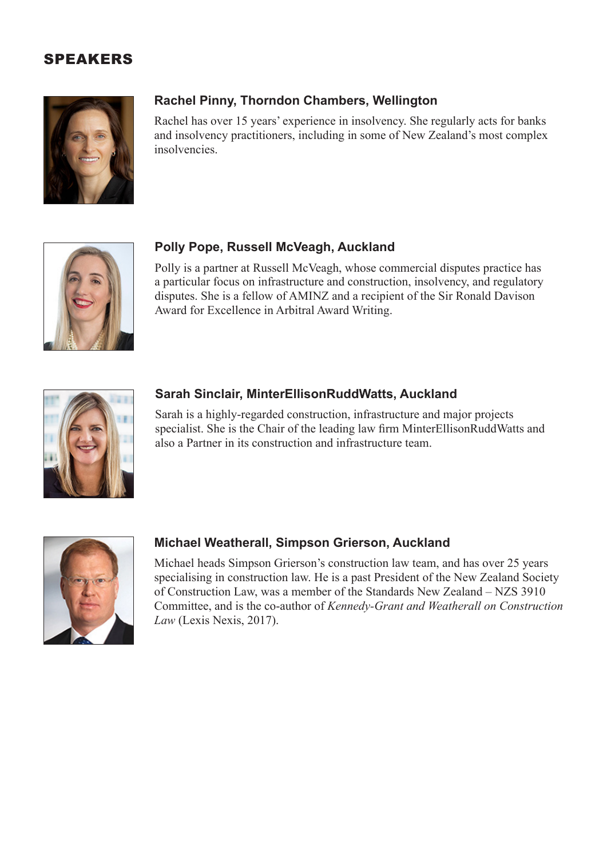## SPEAKERS



### **Rachel Pinny, Thorndon Chambers, Wellington**

Rachel has over 15 years' experience in insolvency. She regularly acts for banks and insolvency practitioners, including in some of New Zealand's most complex insolvencies.



#### **Polly Pope, Russell McVeagh, Auckland**

Polly is a partner at Russell McVeagh, whose commercial disputes practice has a particular focus on infrastructure and construction, insolvency, and regulatory disputes. She is a fellow of AMINZ and a recipient of the Sir Ronald Davison Award for Excellence in Arbitral Award Writing.



#### **Sarah Sinclair, MinterEllisonRuddWatts, Auckland**

Sarah is a highly-regarded construction, infrastructure and major projects specialist. She is the Chair of the leading law firm MinterEllisonRuddWatts and also a Partner in its construction and infrastructure team.



### **Michael Weatherall, Simpson Grierson, Auckland**

Michael heads Simpson Grierson's construction law team, and has over 25 years specialising in construction law. He is a past President of the New Zealand Society of Construction Law, was a member of the Standards New Zealand – NZS 3910 Committee, and is the co-author of *Kennedy-Grant and Weatherall on Construction Law* (Lexis Nexis, 2017).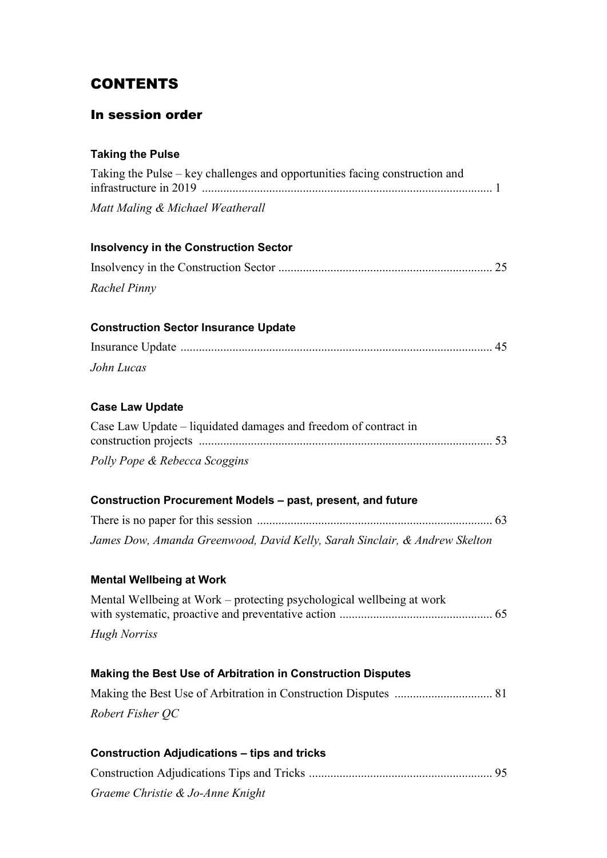## **CONTENTS**

## In session order

## **Taking the Pulse**

| Taking the Pulse – key challenges and opportunities facing construction and |
|-----------------------------------------------------------------------------|
| Matt Maling & Michael Weatherall                                            |
| <b>Insolvency in the Construction Sector</b>                                |
|                                                                             |
| Rachel Pinny                                                                |
| <b>Construction Sector Insurance Update</b>                                 |
|                                                                             |
| John Lucas                                                                  |
| <b>Case Law Update</b>                                                      |
| Case Law Update – liquidated damages and freedom of contract in             |
| Polly Pope & Rebecca Scoggins                                               |
| Construction Procurement Models - past, present, and future                 |
|                                                                             |
| James Dow, Amanda Greenwood, David Kelly, Sarah Sinclair, & Andrew Skelton  |
| <b>Mental Wellbeing at Work</b>                                             |
| Mental Wellbeing at Work – protecting psychological wellbeing at work       |
| <b>Hugh Norriss</b>                                                         |
| Making the Best Use of Arbitration in Construction Disputes                 |
|                                                                             |
| Robert Fisher QC                                                            |
| <b>Construction Adjudications - tips and tricks</b>                         |
|                                                                             |
| Graeme Christie & Jo-Anne Knight                                            |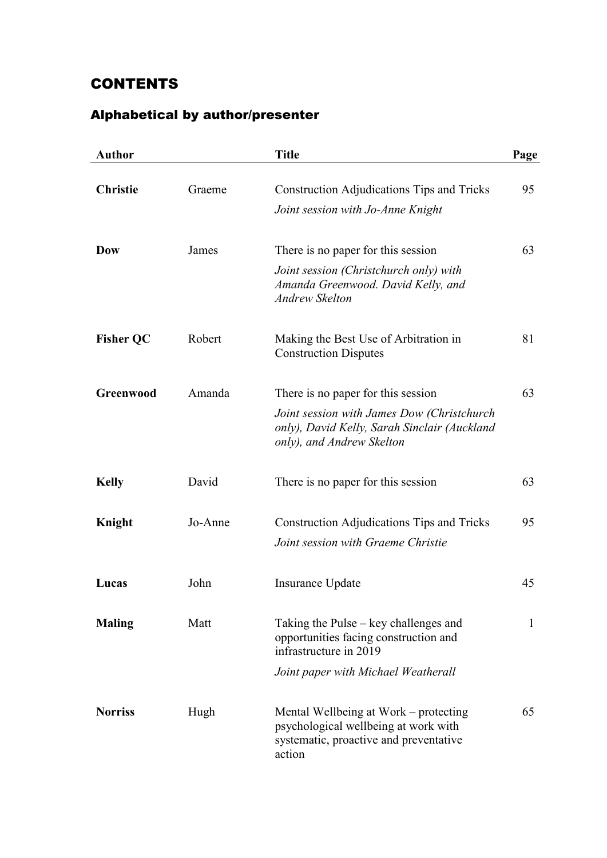## **CONTENTS**

## Alphabetical by author/presenter

| <b>Author</b>    |         | <b>Title</b>                                                                                                                      | Page |
|------------------|---------|-----------------------------------------------------------------------------------------------------------------------------------|------|
| <b>Christie</b>  | Graeme  | Construction Adjudications Tips and Tricks                                                                                        | 95   |
|                  |         | Joint session with Jo-Anne Knight                                                                                                 |      |
| Dow              | James   | There is no paper for this session                                                                                                | 63   |
|                  |         | Joint session (Christchurch only) with<br>Amanda Greenwood. David Kelly, and<br><b>Andrew Skelton</b>                             |      |
| <b>Fisher QC</b> | Robert  | Making the Best Use of Arbitration in<br><b>Construction Disputes</b>                                                             | 81   |
| Greenwood        | Amanda  | There is no paper for this session                                                                                                | 63   |
|                  |         | Joint session with James Dow (Christchurch<br>only), David Kelly, Sarah Sinclair (Auckland<br>only), and Andrew Skelton           |      |
| <b>Kelly</b>     | David   | There is no paper for this session                                                                                                | 63   |
| Knight           | Jo-Anne | <b>Construction Adjudications Tips and Tricks</b>                                                                                 | 95   |
|                  |         | Joint session with Graeme Christie                                                                                                |      |
| Lucas            | John    | Insurance Update                                                                                                                  | 45   |
| <b>Maling</b>    | Matt    | Taking the Pulse – key challenges and<br>opportunities facing construction and<br>infrastructure in 2019                          | 1    |
|                  |         | Joint paper with Michael Weatherall                                                                                               |      |
| <b>Norriss</b>   | Hugh    | Mental Wellbeing at Work – protecting<br>psychological wellbeing at work with<br>systematic, proactive and preventative<br>action | 65   |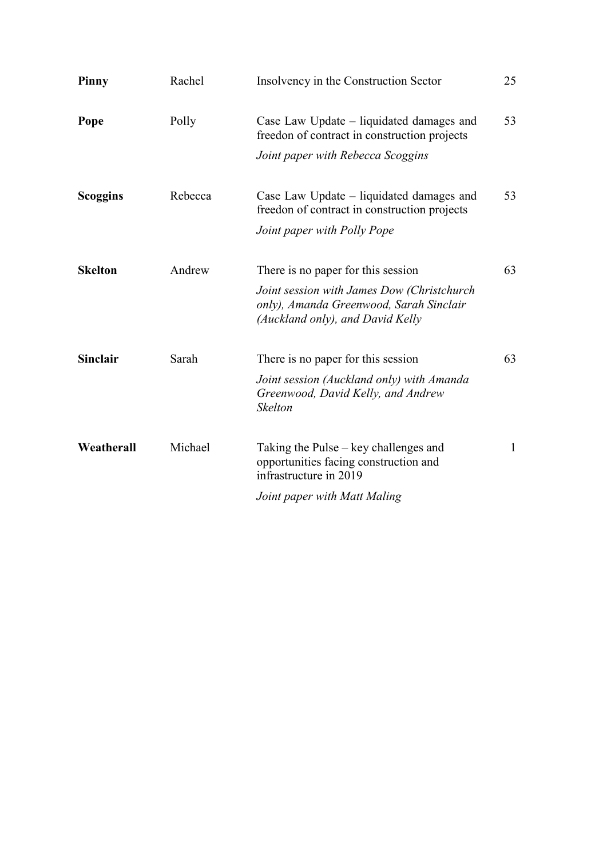| Rachel  | Insolvency in the Construction Sector                                                                                     | 25           |
|---------|---------------------------------------------------------------------------------------------------------------------------|--------------|
| Polly   | Case Law Update – liquidated damages and<br>freedon of contract in construction projects                                  | 53           |
|         | Joint paper with Rebecca Scoggins                                                                                         |              |
| Rebecca | Case Law Update – liquidated damages and<br>freedon of contract in construction projects                                  | 53           |
|         | Joint paper with Polly Pope                                                                                               |              |
| Andrew  | There is no paper for this session                                                                                        | 63           |
|         | Joint session with James Dow (Christchurch<br>only), Amanda Greenwood, Sarah Sinclair<br>(Auckland only), and David Kelly |              |
| Sarah   | There is no paper for this session                                                                                        | 63           |
|         | Joint session (Auckland only) with Amanda<br>Greenwood, David Kelly, and Andrew<br><b>Skelton</b>                         |              |
| Michael | Taking the Pulse – key challenges and<br>opportunities facing construction and<br>infrastructure in 2019                  | $\mathbf{1}$ |
|         | Joint paper with Matt Maling                                                                                              |              |
|         |                                                                                                                           |              |